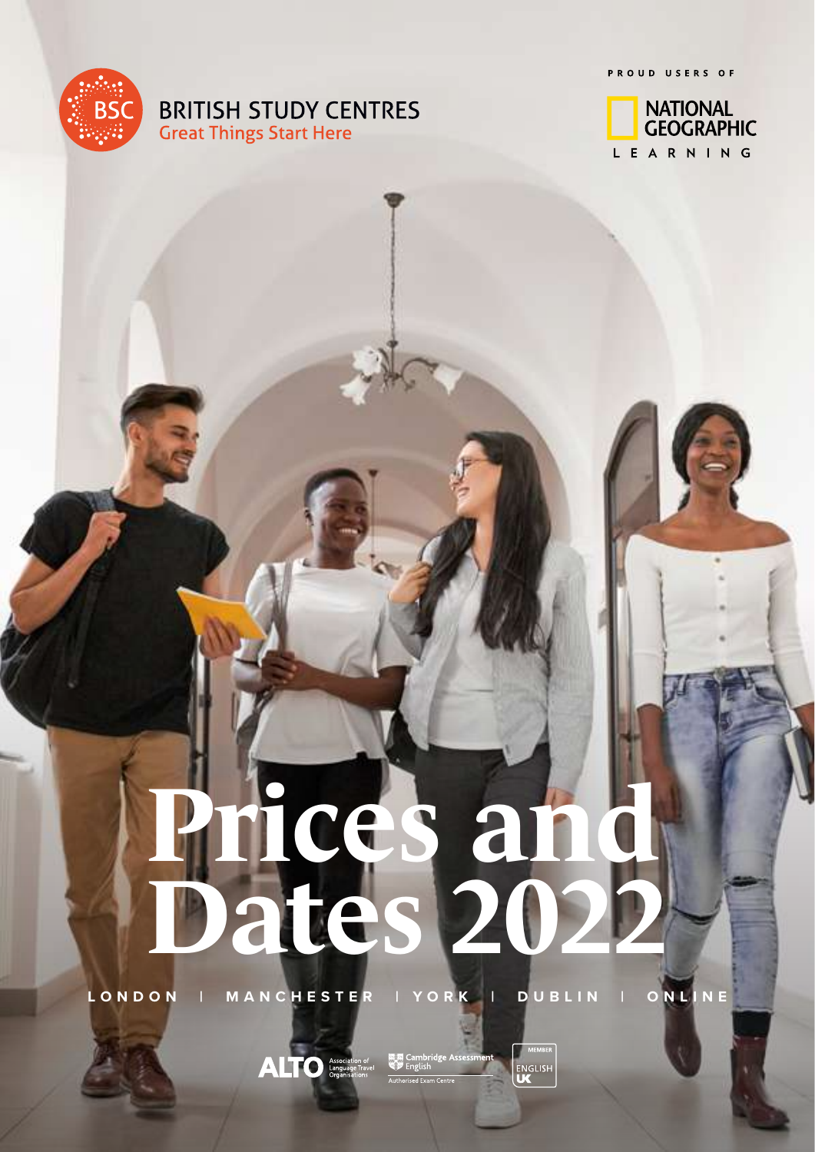**BRITISH STUDY CENTRES Great Things Start Here** 

PROUD USERS OF



# **Prices and Dates 2022**

**LONDON | MANCHESTER | YORK | DUBLIN | ONLINE**

 $\text{AITO}$  Association of

**MEMBER ENGLISH**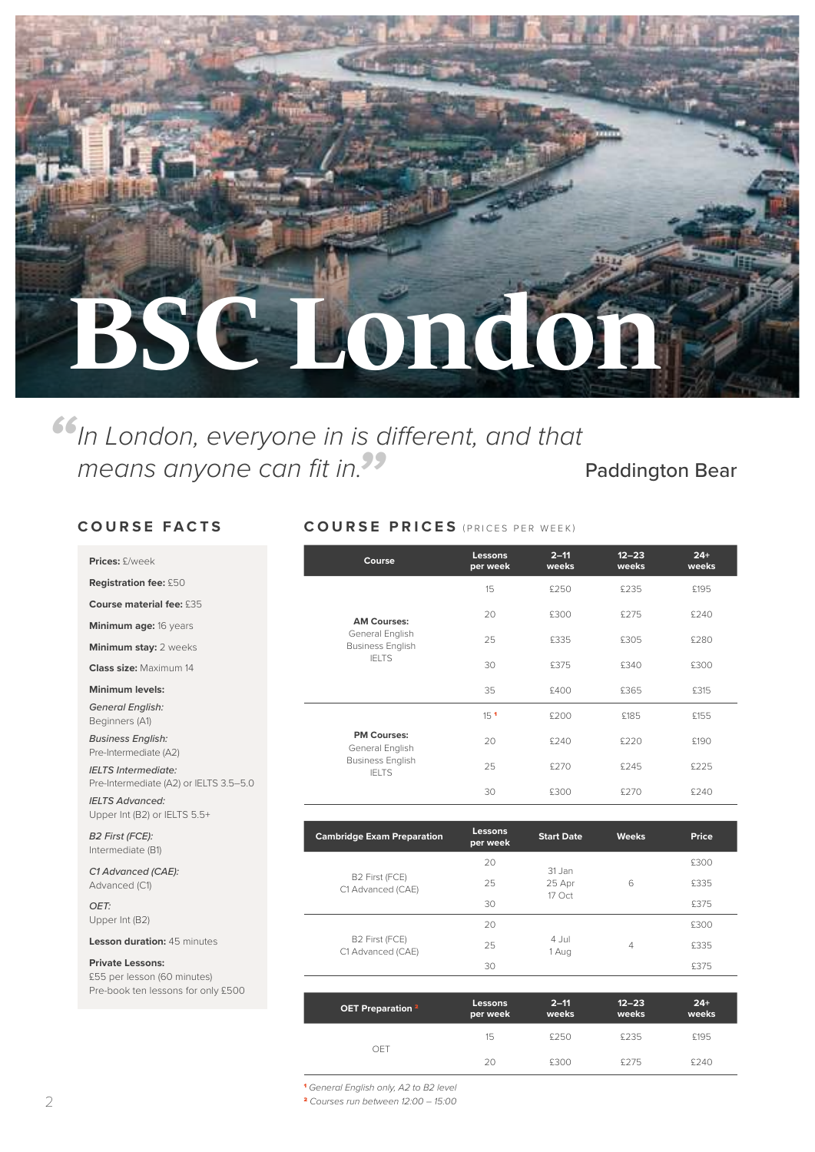

means anyone can fit in.<sup>99</sup> Paddington Bear *"In London, everyone in is different, and that* 

#### **COURSE FACTS COURSE PRICES** (PRICES PER WEEK)

| Prices: £/week                                         | Course                                     | Lessons<br>per week | $2 - 11$<br>weeks | $12 - 23$<br>weeks | $24+$<br>weeks |
|--------------------------------------------------------|--------------------------------------------|---------------------|-------------------|--------------------|----------------|
| <b>Registration fee: £50</b>                           |                                            | 15                  | £250              | £235               | £195           |
| Course material fee: £35                               |                                            | 20                  |                   |                    |                |
| Minimum age: 16 years                                  | <b>AM Courses:</b>                         |                     | £300              | £275               | £240           |
| <b>Minimum stay: 2 weeks</b>                           | General English<br><b>Business English</b> | 25                  | £335              | £305               | £280           |
| Class size: Maximum 14                                 | <b>IFITS</b>                               | 30                  | £375              | £340               | £300           |
| Minimum levels:                                        |                                            | 35                  | £400              | £365               | £315           |
| <b>General English:</b><br>Beginners (A1)              |                                            | 15 <sup>1</sup>     | £200              | £185               | £155           |
| <b>Business English:</b><br>Pre-Intermediate (A2)      | <b>PM Courses:</b><br>General English      | 20                  | £240              | £220               | £190           |
| <b>IELTS</b> Intermediate:                             | <b>Business English</b><br><b>IELTS</b>    | 25                  | £270              | £245               | £225           |
| Pre-Intermediate (A2) or IELTS 3.5-5.0                 |                                            | 30                  | £300              | £270               | £240           |
| <b>IELTS Advanced:</b><br>Upper Int (B2) or IELTS 5.5+ |                                            |                     |                   |                    |                |
| <b>B2 First (FCE):</b><br>Intermediate (B1)            | <b>Cambridge Exam Preparation</b>          | Lessons<br>per week | <b>Start Date</b> | <b>Weeks</b>       | Price          |

20

20

**per week**

31 Jan

17 Oct

4 Jul

**2–11 weeks**

25 25 Apr 6 £335

30 £375

 $1 \text{ Aug}$  4  $4 \text{ Aug}$ 

25 and 25 and 25 and 25 and 25 and 25 and 25 and 26 and 26 and 26 and 26 and 26 and 26 and 26 and 26 and 26 and 26 and 26 and 26 and 26 and 26 and 26 and 26 and 26 and 26 and 26 and 26 and 26 and 26 and 26 and 26 and 26 an 30 £375

15 £250 £235 £195 20 £300 £275 £240

6

**12–23 weeks**

£300

£300

**24+ weeks**

| C1 Advanced (CAE): |  |
|--------------------|--|
| Advanced (C1)      |  |

*OET:* Upper Int (B2)

#### **Lesson duration:** 45 minutes

#### **Private Lessons:**

£55 per lesson (60 minutes) Pre-book ten lessons for only £500

| <sup>1</sup> General English only, A2 to B2 level |
|---------------------------------------------------|
|                                                   |

OET

B2 First (FCE) C1 Advanced (CAE)

B2 First (FCE) C1 Advanced (CAE)

**OET Preparation** <sup>2</sup> **Lessons**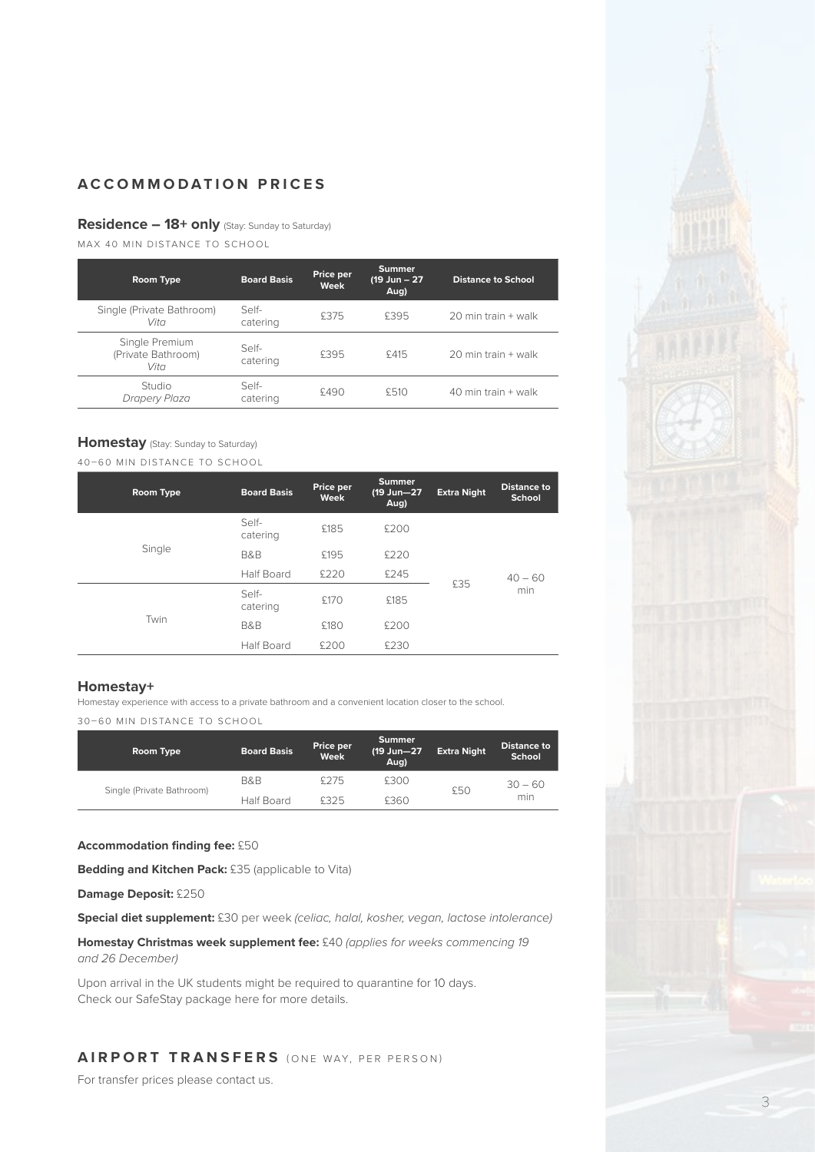#### **Residence – 18+ only** (Stay: Sunday to Saturday)

MAX 40 MIN DISTANCE TO SCHOOL

| Room Type                                    | <b>Board Basis</b> | Price per<br>Week | <b>Summer</b><br>(19 Jun - 27<br>Aug) | <b>Distance to School</b> |
|----------------------------------------------|--------------------|-------------------|---------------------------------------|---------------------------|
| Single (Private Bathroom)<br>Vita            | Self-<br>catering  | £375              | £395                                  | 20 min train + walk       |
| Single Premium<br>(Private Bathroom)<br>Vita | Self-<br>catering  | £395              | £415                                  | 20 min train + walk       |
| Studio<br>Drapery Plaza                      | Self-<br>catering  | £490              | £510                                  | 40 min train + walk       |

#### **Homestay** (Stay: Sunday to Saturday)

40–60 MIN DISTANCE TO SCHOOL

| Room Type | <b>Board Basis</b> | Price per<br>Week | <b>Summer</b><br>(19 Jun-27<br>Aug) | <b>Extra Night</b> | <b>Distance to</b><br>School |
|-----------|--------------------|-------------------|-------------------------------------|--------------------|------------------------------|
| Single    | Self-<br>catering  | £185              | £200                                | £35                |                              |
|           | B&B                | £195              | £220                                |                    | $40 - 60$                    |
|           | <b>Half Board</b>  | £220              | £245                                |                    |                              |
| Twin      | Self-<br>catering  | £170              | £185                                |                    | min                          |
|           | <b>B&amp;B</b>     | £180              | £200                                |                    |                              |
|           | <b>Half Board</b>  | £200              | £230                                |                    |                              |

#### **Homestay+**

Homestay experience with access to a private bathroom and a convenient location closer to the school. 30–60 MIN DISTANCE TO SCHOOL

| Room Type                 | <b>Board Basis</b> | Price per<br>Week | Summer<br>(19 Jun-27<br>Aug) | <b>Extra Night</b> | Distance to<br>School |
|---------------------------|--------------------|-------------------|------------------------------|--------------------|-----------------------|
|                           | B&B                | \$275             | £300                         | £50                | $30 - 60$             |
| Single (Private Bathroom) | Half Board         | <b>£325</b>       | £360                         |                    | min                   |

#### **Accommodation finding fee:** £50

**Bedding and Kitchen Pack:** £35 (applicable to Vita)

#### **Damage Deposit:** £250

**Special diet supplement:** £30 per week *(celiac, halal, kosher, vegan, lactose intolerance)*

**Homestay Christmas week supplement fee:** £40 *(applies for weeks commencing 19 and 26 December)*

Upon arrival in the UK students might be required to quarantine for 10 days. Check our SafeStay package here for more details.

#### **AIRPORT TRANSFERS** (ONE WAY, PER PERSON)

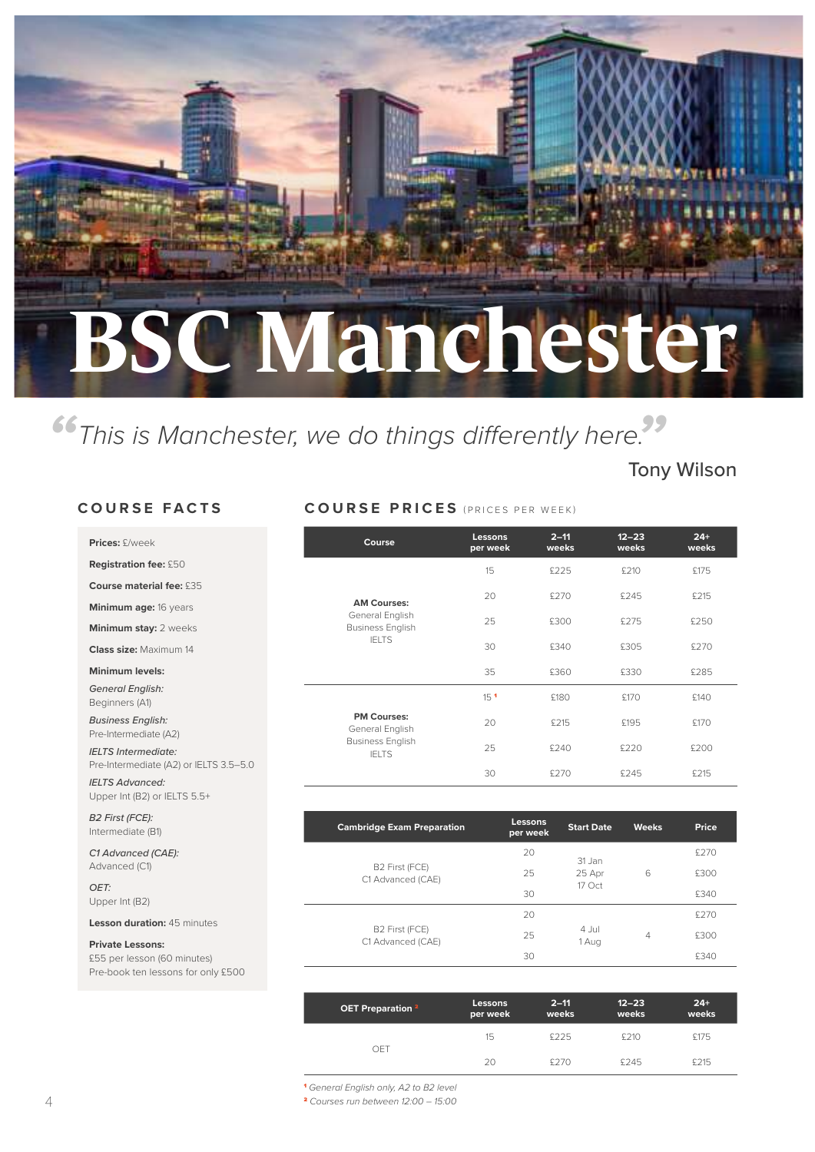## **BSC Manchester**

*"This is Manchester, we do things differently here."*

#### Tony Wilson

#### **COURSE FACTS**

*IELTS Advanced:*  Upper Int (B2) or IELTS 5.5+

Pre-book ten lessons for only £500

| Prices: £/week                                                       | Course                                     | Lessons<br>per week | $2 - 11$<br>weeks | $12 - 23$<br>weeks | $24+$<br>weeks |
|----------------------------------------------------------------------|--------------------------------------------|---------------------|-------------------|--------------------|----------------|
| <b>Registration fee: £50</b>                                         |                                            | 15                  | £225              | £210               | £175           |
| Course material fee: £35                                             |                                            |                     |                   |                    |                |
| Minimum age: 16 years                                                | <b>AM Courses:</b>                         | 20                  | £270              | £245               | £215           |
| <b>Minimum stay: 2 weeks</b>                                         | General English<br><b>Business English</b> | 25                  | £300              | £275               | £250           |
| <b>Class size: Maximum 14</b>                                        | <b>IELTS</b>                               | 30                  | £340              | £305               | £270           |
| Minimum levels:                                                      |                                            | 35                  | £360              | £330               | £285           |
| <b>General English:</b><br>Beginners (A1)                            |                                            | 15 <sup>1</sup>     | £180              | £170               | £140           |
| <b>Business English:</b><br>Pre-Intermediate (A2)                    | <b>PM Courses:</b><br>General English      | 20                  | £215              | £195               | £170           |
| <b>IELTS Intermediate:</b><br>Pre-Intermediate (A2) or IELTS 3.5-5.0 | <b>Business English</b><br><b>IELTS</b>    | 25                  | £240              | £220               | £200           |
| <b>IELTS Advanced:</b>                                               |                                            | 30                  | £270              | £245               | £215           |

**COURSE PRICES** (PRICES PER WEEK)

| B2 First (FCE):<br>Intermediate (B1) | <b>Cambridge Exam Preparation</b>               | <b>Lessons</b><br>per week | <b>Start Date</b> | <b>Weeks</b> | Price |
|--------------------------------------|-------------------------------------------------|----------------------------|-------------------|--------------|-------|
| C1 Advanced (CAE):                   |                                                 | 20                         | 31 Jan            |              | £270  |
| Advanced (C1)                        | B <sub>2</sub> First (FCE)<br>C1 Advanced (CAE) | 25                         | 25 Apr<br>17 Oct  | 6            | £300  |
| OET:<br>Upper Int (B2)               |                                                 | 30                         |                   |              | £340  |
| <b>Lesson duration: 45 minutes</b>   |                                                 | 20                         |                   |              | £270  |
| <b>Private Lessons:</b>              | B <sub>2</sub> First (FCE)<br>C1 Advanced (CAE) | 25                         | 4 Jul<br>1 Aug    | 4            | £300  |
| £55 per lesson (60 minutes)          |                                                 | 30                         |                   |              | £340  |

| OET Preparation <sup>2</sup> | Lessons<br>per week | $2 - 11$<br>weeks | $12 - 23$<br>weeks | $24+$<br>weeks |
|------------------------------|---------------------|-------------------|--------------------|----------------|
| OFT                          | 15                  | £225              | £210               | £175           |
|                              | 20                  | £270              | £245               | £215           |

<sup>1</sup> *General English only, A2 to B2 level*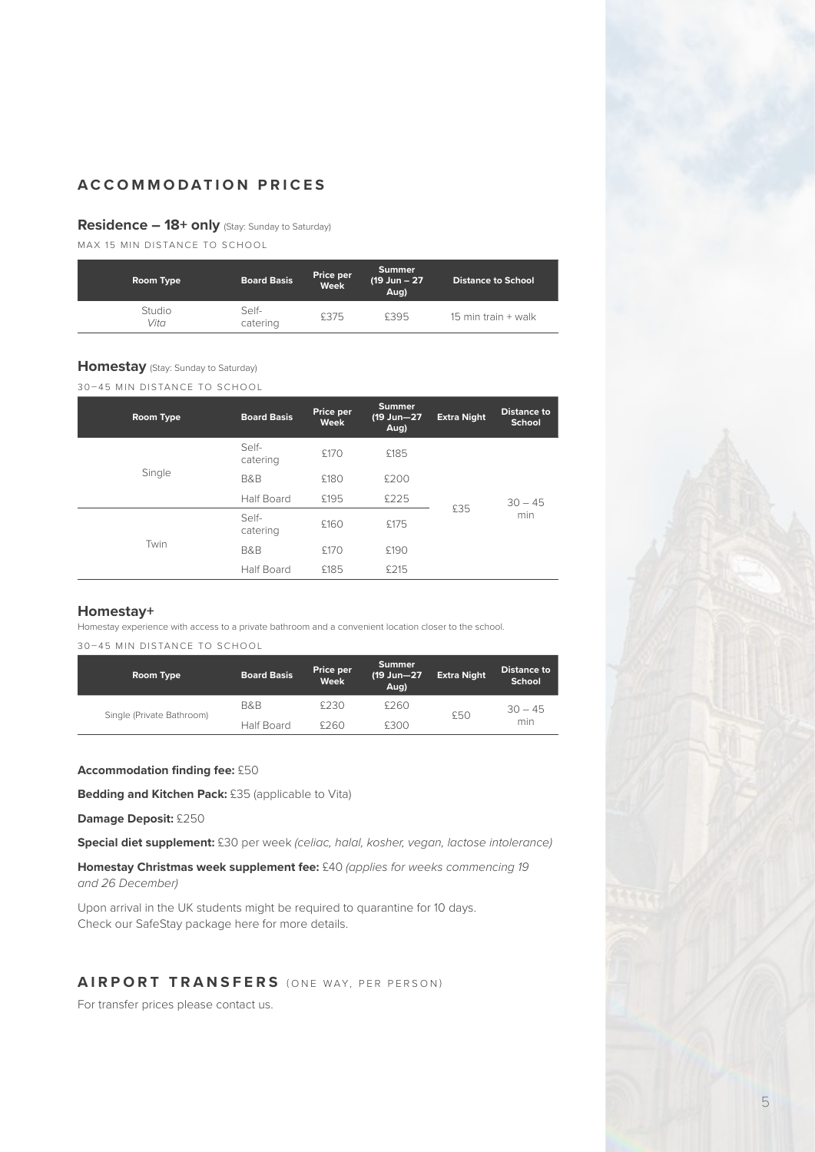#### **Residence – 18+ only** (Stay: Sunday to Saturday)

MAX 15 MIN DISTANCE TO SCHOOL

| Room Type      | <b>Board Basis</b> | Price per<br>Week | <b>Summer</b><br>$(19 \text{ Jun} - 27)$<br>Aug) | <b>Distance to School</b> |
|----------------|--------------------|-------------------|--------------------------------------------------|---------------------------|
| Studio<br>Vita | Self-<br>catering  | £375              | £395                                             | 15 min train $+$ walk     |

#### **Homestay** (Stay: Sunday to Saturday)

30–45 MIN DISTANCE TO SCHOOL

| Room Type | <b>Board Basis</b> | Price per<br>Week | <b>Summer</b><br>(19 Jun-27<br>Aug) | <b>Extra Night</b> | <b>Distance to</b><br><b>School</b> |
|-----------|--------------------|-------------------|-------------------------------------|--------------------|-------------------------------------|
| Single    | Self-<br>catering  | £170              | £185                                | £35                |                                     |
|           | <b>B&amp;B</b>     | £180              | £200                                |                    |                                     |
|           | <b>Half Board</b>  | £195              | £225                                |                    | $30 - 45$                           |
| Twin      | Self-<br>catering  | £160              | £175                                |                    | min                                 |
|           | <b>B&amp;B</b>     | £170              | £190                                |                    |                                     |
|           | <b>Half Board</b>  | £185              | £215                                |                    |                                     |

#### **Homestay+**

Homestay experience with access to a private bathroom and a convenient location closer to the school.

30–45 MIN DISTANCE TO SCHOOL

| Room Type                 | <b>Board Basis</b> | Price per<br>Week | <b>Summer</b><br>(19 Jun-27<br>Aug) | <b>Extra Night</b> | <b>Distance to</b><br>School |
|---------------------------|--------------------|-------------------|-------------------------------------|--------------------|------------------------------|
|                           | B&B                | £230              | £260                                | £50                | $30 - 45$                    |
| Single (Private Bathroom) | Half Board         | \$760             | £300                                |                    | min                          |

#### **Accommodation finding fee:** £50

**Bedding and Kitchen Pack:** £35 (applicable to Vita)

**Damage Deposit:** £250

**Special diet supplement:** £30 per week *(celiac, halal, kosher, vegan, lactose intolerance)*

**Homestay Christmas week supplement fee:** £40 *(applies for weeks commencing 19 and 26 December)*

Upon arrival in the UK students might be required to quarantine for 10 days. Check our SafeStay package here for more details.

#### **AIRPORT TRANSFERS** (ONE WAY, PER PERSON)

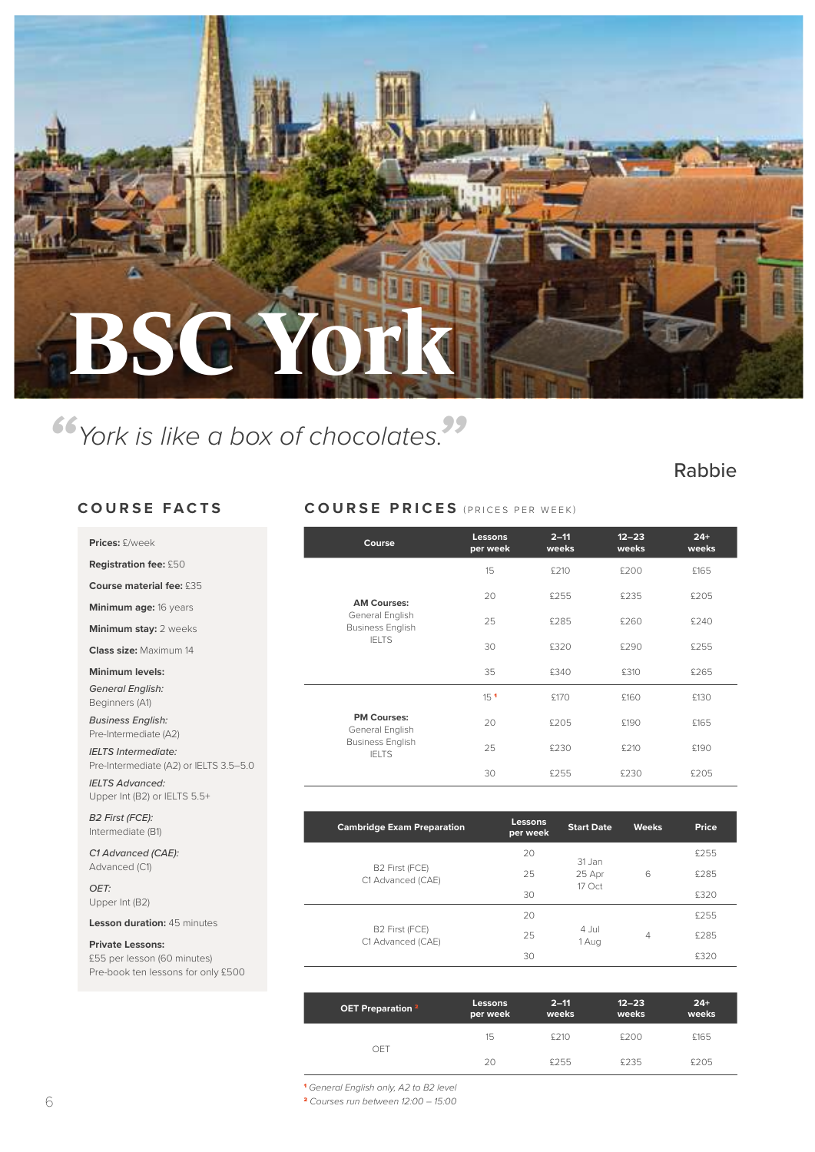

### *"York is like a box of chocolates."*

#### Rabbie

#### **COURSE FACTS**

**Prices:** £/week **Registration fee:** £50 **Course material fee:** £35 **Minimum age:** 16 years **Minimum stay:** 2 weeks **Class size:** Maximum 14 **Minimum levels:** *General English:*  Beginners (A1) *Business English:*  Pre-Intermediate (A2) *IELTS Intermediate:*  Pre-Intermediate (A2) or IELTS

*IELTS Advanced:*  Upper Int (B2) or IELTS 5.5+

Pre-book ten lessons for only £500

| Course                                     | <b>Lessons</b><br>per week | $2 - 11$<br>weeks | $12 - 23$<br>weeks | $24+$<br>weeks |
|--------------------------------------------|----------------------------|-------------------|--------------------|----------------|
|                                            | 15                         | £210              | £200               | £165           |
| <b>AM Courses:</b>                         | 20                         | £255              | £235               | £205           |
| General English<br><b>Business English</b> | 25                         | £285              | £260               | £240           |
| <b>IELTS</b>                               | 30                         | £320              | £290               | £255           |
|                                            | 35                         | £340              | £310               | £265           |
|                                            | 15 <sup>1</sup>            | £170              | £160               | £130           |
| <b>PM Courses:</b><br>General English      | 20                         | £205              | £190               | £165           |
| <b>Business English</b><br><b>IELTS</b>    | 25                         | £230              | £210               | £190           |
|                                            | 30                         | £255              | £230               | £205           |

**COURSE PRICES** (PRICES PER WEEK)

| <b>B2 First (FCE):</b><br>Intermediate (B1) | <b>Cambridge Exam Preparation</b>   | Lessons<br>per week | <b>Start Date</b> | <b>Weeks</b> | Price |
|---------------------------------------------|-------------------------------------|---------------------|-------------------|--------------|-------|
| C1 Advanced (CAE):                          |                                     | 20                  | 31 Jan            |              | £255  |
| Advanced (C1)                               | B2 First (FCE)<br>C1 Advanced (CAE) | 25                  | 25 Apr            | 6            | £285  |
| OET:<br>Upper Int (B2)                      |                                     | 30                  | 17 Oct            |              | £320  |
| Lesson duration: 45 minutes                 |                                     | 20                  |                   |              | £255  |
| <b>Private Lessons:</b>                     | B2 First (FCE)<br>C1 Advanced (CAE) | 25                  | 4 Jul<br>1 Aug    | 4            | £285  |
| £55 per lesson (60 minutes)                 |                                     | 30                  |                   |              | £320  |

| OET Preparation <sup>2</sup> | Lessons<br>per week | $2 - 11$<br>weeks | $12 - 23$<br>weeks | $24+$<br>weeks |
|------------------------------|---------------------|-------------------|--------------------|----------------|
| OFT                          | 15                  | £210              | £200               | £165           |
|                              | 20                  | £255              | £235               | £205           |

<sup>1</sup> *General English only, A2 to B2 level*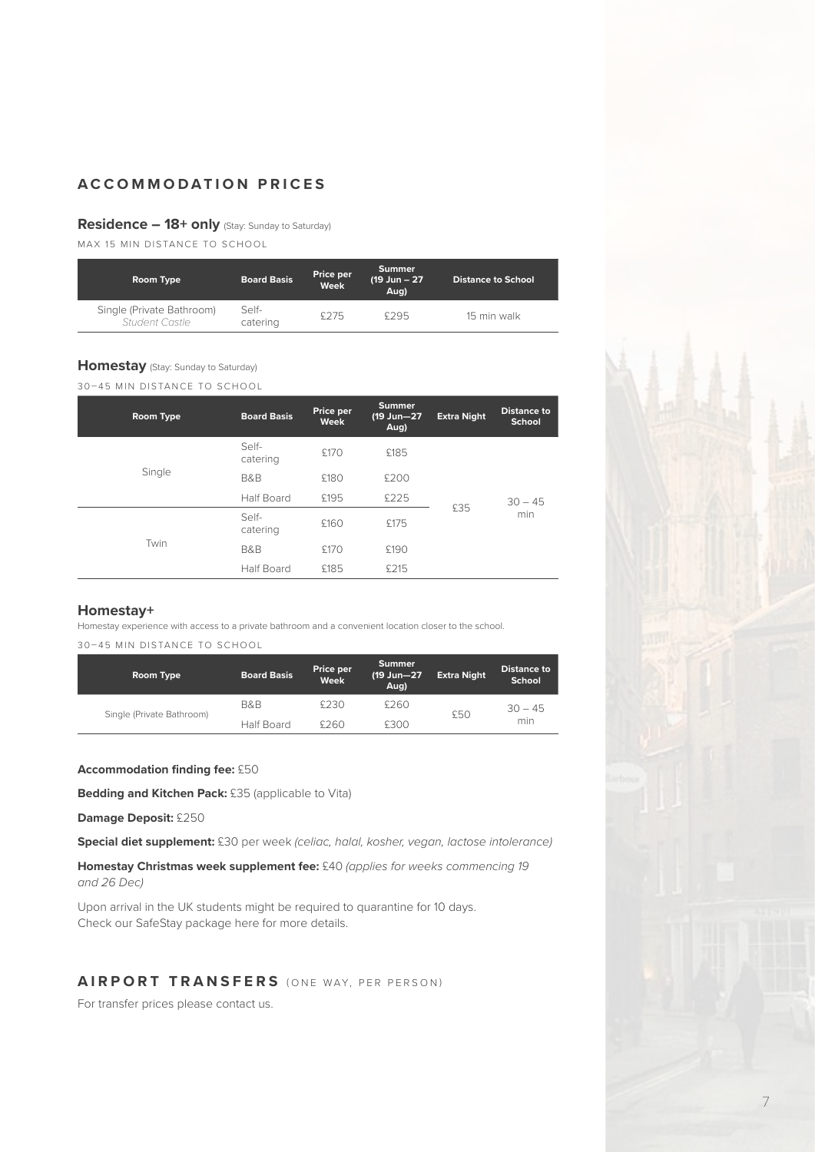#### **Residence – 18+ only** (Stay: Sunday to Saturday)

MAX 15 MIN DISTANCE TO SCHOOL

| Room Type                                   | <b>Board Basis</b> | Price per<br>Week | <b>Summer</b><br>$(19 \text{ Jun} - 27)$<br>Aua) | <b>Distance to School</b> |
|---------------------------------------------|--------------------|-------------------|--------------------------------------------------|---------------------------|
| Single (Private Bathroom)<br>Student Castle | Self-<br>catering  | \$275             | £295                                             | 15 min walk               |

#### **Homestay** (Stay: Sunday to Saturday)

30–45 MIN DISTANCE TO SCHOOL

| Room Type      | <b>Board Basis</b> | Price per<br><b>Week</b> | <b>Summer</b><br>(19 Jun-27<br>Aug) | <b>Extra Night</b> | <b>Distance to</b><br>School |
|----------------|--------------------|--------------------------|-------------------------------------|--------------------|------------------------------|
| Single<br>Twin | Self-<br>catering  | £170                     | £185                                |                    |                              |
|                | <b>B&amp;B</b>     | £180                     | £200                                |                    |                              |
|                | <b>Half Board</b>  | £195                     | £225                                | £35                | $30 - 45$                    |
|                | Self-<br>catering  | £160                     | £175                                |                    | min                          |
|                | <b>B&amp;B</b>     | £170                     | £190                                |                    |                              |
|                | <b>Half Board</b>  | £185                     | £215                                |                    |                              |

#### **Homestay+**

Homestay experience with access to a private bathroom and a convenient location closer to the school. 30–45 MIN DISTANCE TO SCHOOL

| Room Type                 | <b>Board Basis</b> | Price per<br>Week | <b>Summer</b><br>(19 Jun-27<br>Aug) | <b>Extra Night</b> | <b>Distance to</b><br>School |
|---------------------------|--------------------|-------------------|-------------------------------------|--------------------|------------------------------|
|                           | B&B                | £230              | £260                                | £50                | $30 - 45$                    |
| Single (Private Bathroom) | <b>Half Board</b>  | \$260             | £300                                |                    | min                          |

#### **Accommodation finding fee:** £50

**Bedding and Kitchen Pack:** £35 (applicable to Vita)

**Damage Deposit:** £250

**Special diet supplement:** £30 per week *(celiac, halal, kosher, vegan, lactose intolerance)*

**Homestay Christmas week supplement fee:** £40 *(applies for weeks commencing 19 and 26 Dec)*

Upon arrival in the UK students might be required to quarantine for 10 days. Check our SafeStay package here for more details.

#### **AIRPORT TRANSFERS** (ONE WAY, PER PERSON)

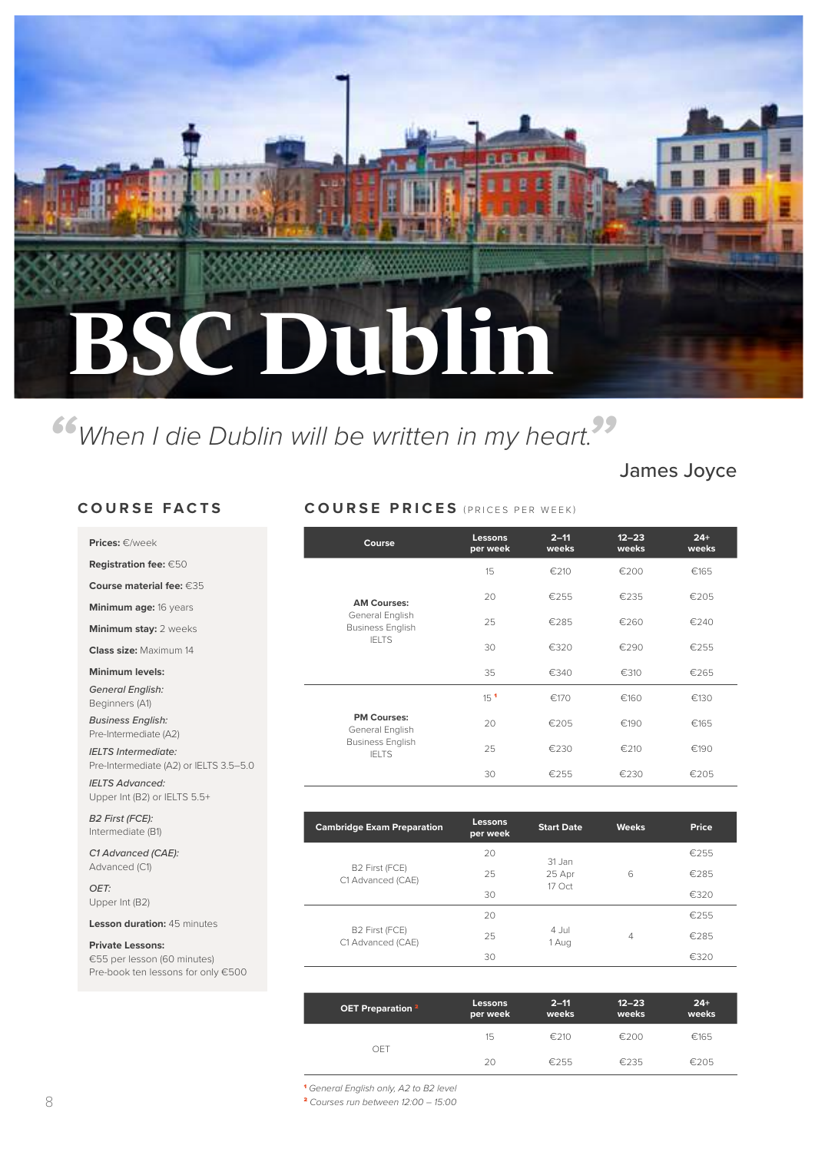# **BSC Dublin**

### *"When I die Dublin will be written in my heart."*

James Joyce

#### **COURSE FACTS**

Upper Int (B2) or IELTS 5.5+

| Prices: $\in$ /week                                                  | Course                                  | Lessons<br>per week | $2 - 11$<br>weeks | $12 - 23$<br>weeks | $24+$<br>weeks |
|----------------------------------------------------------------------|-----------------------------------------|---------------------|-------------------|--------------------|----------------|
| <b>Registration fee: <math>€50</math></b>                            |                                         | 15                  | €210              | €200               | €165           |
| Course material fee: $635$                                           |                                         | 20                  |                   |                    |                |
| Minimum age: 16 years                                                | <b>AM Courses:</b><br>General English   |                     | €255              | €235               | €205           |
| <b>Minimum stay: 2 weeks</b>                                         | <b>Business English</b>                 | 25                  | €285              | €260               | €240           |
| <b>Class size: Maximum 14</b>                                        | <b>IELTS</b>                            | 30                  | €320              | €290               | €255           |
| Minimum levels:                                                      |                                         | 35                  | €340              | €310               | €265           |
| <b>General English:</b><br>Beginners (A1)                            |                                         | 15 <sup>1</sup>     | €170              | €160               | €130           |
| <b>Business English:</b><br>Pre-Intermediate (A2)                    | <b>PM Courses:</b><br>General English   | 20                  | €205              | €190               | €165           |
| <b>IELTS Intermediate:</b><br>Pre-Intermediate (A2) or IELTS 3.5-5.0 | <b>Business English</b><br><b>IELTS</b> | 25                  | €230              | €210               | €190           |
| <b>IELTS Advanced:</b>                                               |                                         | 30                  | €255              | €230               | €205           |

**COURSE PRICES** (PRICES PER WEEK)

| <b>B2 First (FCE):</b><br>Intermediate (B1) | <b>Cambridge Exam Preparation</b>   | Lessons<br>per week | <b>Start Date</b> | <b>Weeks</b>   | Price |
|---------------------------------------------|-------------------------------------|---------------------|-------------------|----------------|-------|
| C1 Advanced (CAE):                          |                                     | 20                  | 31 Jan            |                | €255  |
| Advanced (C1)                               | B2 First (FCE)<br>C1 Advanced (CAE) | 25                  | 25 Apr            | 6              | €285  |
| OET:<br>Upper Int (B2)                      |                                     | 30                  | 17 Oct            |                | €320  |
| <b>Lesson duration: 45 minutes</b>          |                                     | 20                  |                   |                | €255  |
| <b>Private Lessons:</b>                     | B2 First (FCE)<br>C1 Advanced (CAE) | 25                  | 4 Jul<br>1 Aug    | $\overline{4}$ | €285  |
| €55 per lesson (60 minutes)                 |                                     | 30                  |                   |                | €320  |
| Pre-book ten lessons for only €500          |                                     |                     |                   |                |       |

| OET Preparation <sup>2</sup> | Lessons<br>per week | $2 - 11$<br>weeks | $12 - 23$<br>weeks | $24+$<br>weeks |
|------------------------------|---------------------|-------------------|--------------------|----------------|
| OFT                          | 15                  | €210              | €200               | €165           |
|                              | 20                  | €255              | €235               | €205           |

<sup>1</sup> *General English only, A2 to B2 level*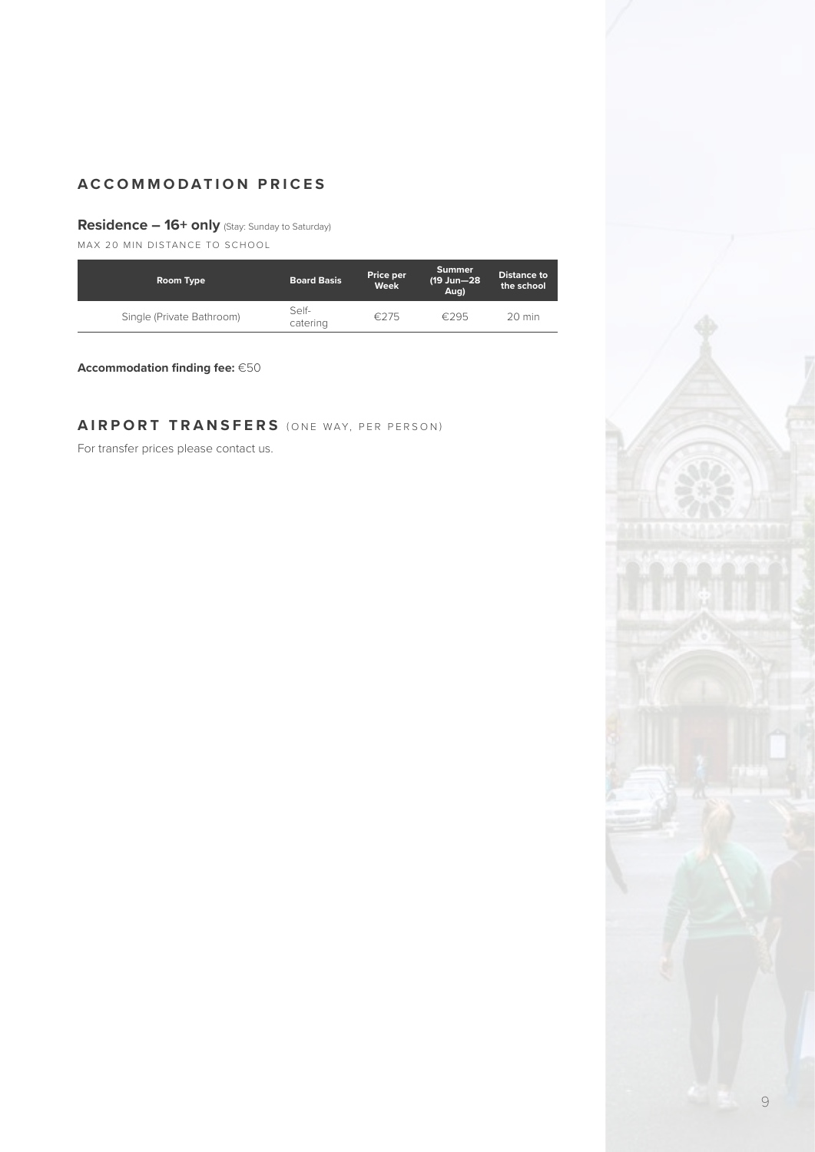#### **Residence – 16+ only** (Stay: Sunday to Saturday)

MAX 20 MIN DISTANCE TO SCHOOL

| Room Type                 | <b>Board Basis</b> | Price per<br>Week | Summer<br>(19 Jun-28<br>Aug) | Distance to<br>the school |
|---------------------------|--------------------|-------------------|------------------------------|---------------------------|
| Single (Private Bathroom) | Self-<br>catering  | €275              | £295                         | $20 \text{ min}$          |

**Accommodation finding fee:** €50

#### **AIRPORT TRANSFERS** (ONE WAY, PER PERSON)

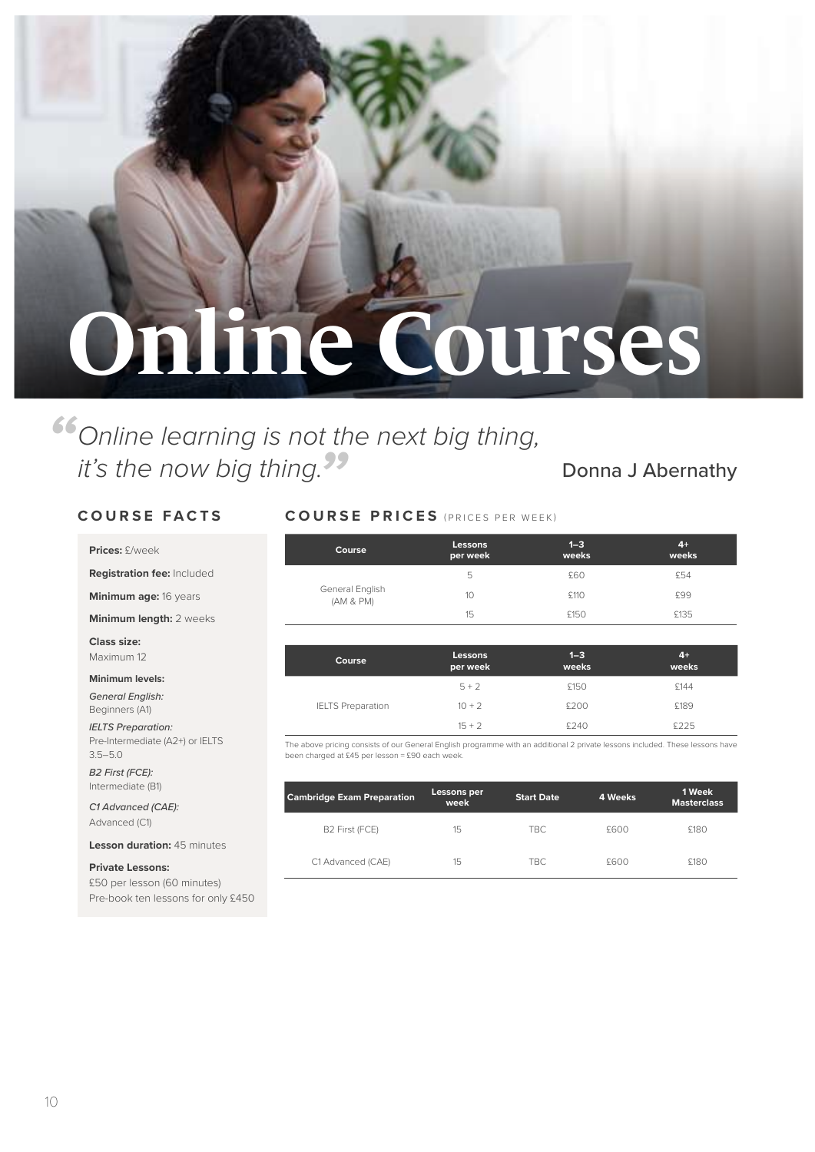## **Online Courses**

## *" it's the now big thing.* Donna J Abernathy *"Online learning is not the next big thing,*

**Prices:** £/week

**Registration fee:** Included

**Minimum age:** 16 years

**Minimum length:** 2 weeks

**Class size:**  Maximum 12

#### **Minimum levels:**

*General English:*  Beginners (A1)

*IELTS Preparation:* 

Pre-Intermediate (A2+) or IELTS 3.5–5.0 *B2 First (FCE):*

Intermediate (B1)

*C1 Advanced (CAE):* Advanced (C1)

**Lesson duration:** 45 minutes

**Private Lessons:** £50 per lesson (60 minutes) Pre-book ten lessons for only £450

#### **COURSE FACTS COURSE PRICES** (PRICES PER WEEK)

| Course                       | Lessons<br>per week | $1 - 3$<br>weeks | $4+$<br>weeks |
|------------------------------|---------------------|------------------|---------------|
|                              | 5                   | £60              | £54           |
| General English<br>(AM & PM) | 10                  | £110             | £99           |
|                              | 15                  | £150             | £135          |

| Course                   | Lessons<br>per week | $1 - 3$<br>weeks | $4+$<br>weeks |
|--------------------------|---------------------|------------------|---------------|
|                          | $5 + 2$             | £150             | £144          |
| <b>IELTS Preparation</b> | $10 + 2$            | £200             | £189          |
|                          | $15 + 2$            | £240             | £225          |

The above pricing consists of our General English programme with an additional 2 private lessons included. These lessons have been charged at £45 per lesson = £90 each week.

| <b>Cambridge Exam Preparation</b> | Lessons per<br>week | <b>Start Date</b> | 4 Weeks | 1 Week<br><b>Masterclass</b> |
|-----------------------------------|---------------------|-------------------|---------|------------------------------|
| B <sub>2</sub> First (FCE)        | 15                  | TBC.              | £600    | £180                         |
| C1 Advanced (CAE)                 | 15                  | TBC.              | £600    | £180                         |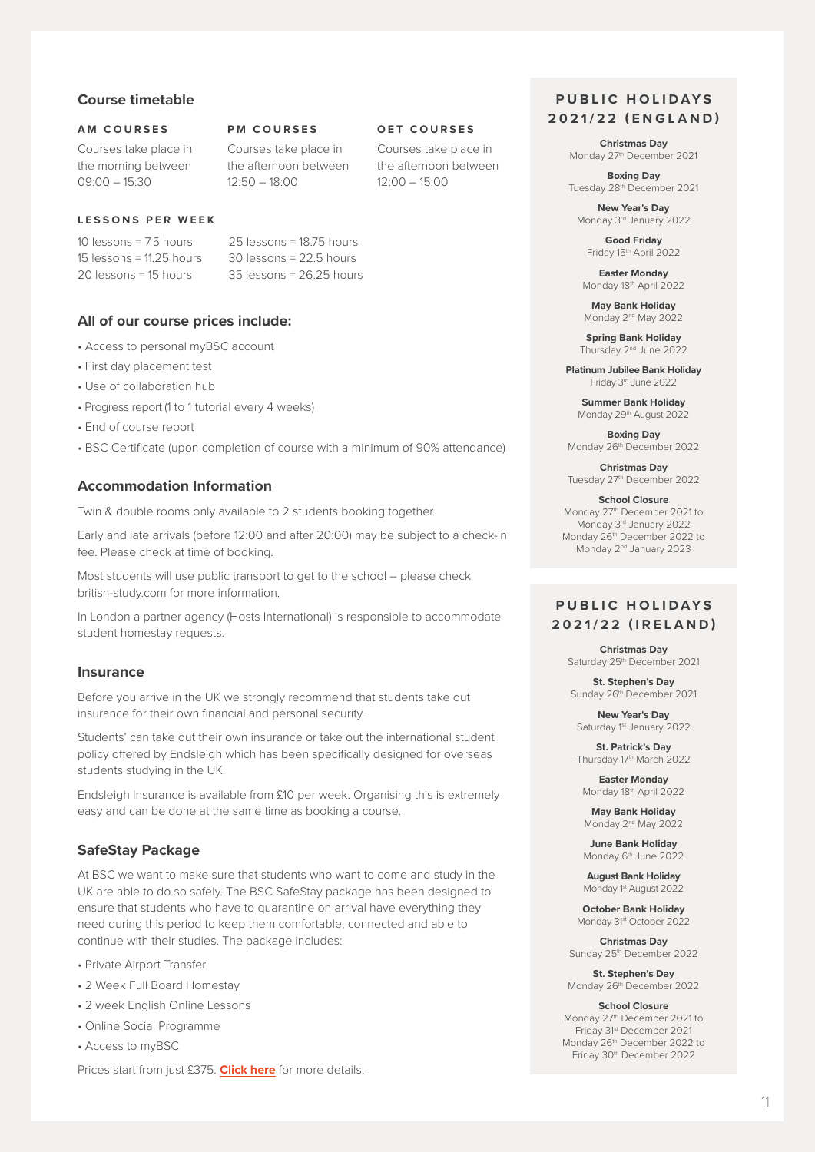#### **Course timetable**

#### **AM COURSES**

Courses take place in the morning between 09:00 – 15:30

#### **LESSONS PER WEEK**

 $10$  lessons  $= 75$  hours 15 lessons = 11.25 hours 20 lessons = 15 hours

25 lessons = 18.75 hours 30 lessons = 22.5 hours 35 lessons = 26.25 hours

**PM COURSES** Courses take place in the afternoon between

 $12:50 - 18:00$ 

#### **All of our course prices include:**

- Access to personal myBSC account
- First day placement test
- Use of collaboration hub
- Progress report (1 to 1 tutorial every 4 weeks)
- End of course report
- BSC Certificate (upon completion of course with a minimum of 90% attendance)

#### **Accommodation Information**

Twin & double rooms only available to 2 students booking together.

Early and late arrivals (before 12:00 and after 20:00) may be subject to a check-in fee. Please check at time of booking.

Most students will use public transport to get to the school – please check british-study.com for more information.

In London a partner agency (Hosts International) is responsible to accommodate student homestay requests.

#### **Insurance**

Before you arrive in the UK we strongly recommend that students take out insurance for their own financial and personal security.

Students' can take out their own insurance or take out the international student policy offered by Endsleigh which has been specifically designed for overseas students studying in the UK.

Endsleigh Insurance is available from £10 per week. Organising this is extremely easy and can be done at the same time as booking a course.

#### **SafeStay Package**

At BSC we want to make sure that students who want to come and study in the UK are able to do so safely. The BSC SafeStay package has been designed to ensure that students who have to quarantine on arrival have everything they need during this period to keep them comfortable, connected and able to continue with their studies. The package includes:

- Private Airport Transfer
- 2 Week Full Board Homestay
- 2 week English Online Lessons
- Online Social Programme
- Access to myBSC

Prices start from just £375. **Click here** for more details.

#### **PUBLIC HOLIDAYS 2021/22 (ENGLAND)**

**Christmas Day** Monday 27<sup>th</sup> December 2021

**Boxing Day** Tuesday 28th December 2021

**New Year's Day** Monday 3rd January 2022

> **Good Friday** Friday 15<sup>th</sup> April 2022

**Easter Monday** Monday 18th April 2022

**May Bank Holiday** Monday 2<sup>nd</sup> May 2022

**Spring Bank Holiday** Thursday 2<sup>nd</sup> June 2022

**Platinum Jubilee Bank Holiday** Friday 3<sup>rd</sup> June 2022

**Summer Bank Holiday** Monday 29<sup>th</sup> August 2022

**Boxing Day** Monday 26<sup>th</sup> December 2022

**Christmas Day** Tuesday 27th December 2022

**School Closure** Monday 27th December 2021 to Monday 3rd January 2022 Monday 26<sup>th</sup> December 2022 to Monday 2<sup>nd</sup> January 2023

#### **PUBLIC HOLIDAYS 2021/22 (IRELAND)**

**Christmas Day** Saturday 25<sup>th</sup> December 2021

**St. Stephen's Day** Sunday 26<sup>th</sup> December 2021

**New Year's Day** Saturday 1st January 2022

**St. Patrick's Day** Thursday 17th March 2022

**Easter Monday** Monday 18th April 2022

**May Bank Holiday** Monday 2<sup>nd</sup> May 2022

**June Bank Holiday** Monday 6<sup>th</sup> June 2022

**August Bank Holiday** Monday 1<sup>st</sup> August 2022

**October Bank Holiday**  Monday 31st October 2022

**Christmas Day** Sunday 25th December 2022

**St. Stephen's Day** Monday 26th December 2022

**School Closure** Monday 27th December 2021 to Friday 31st December 2021 Monday 26th December 2022 to Friday 30<sup>th</sup> December 2022

#### **OET COURSES**

Courses take place in the afternoon between 12:00 – 15:00